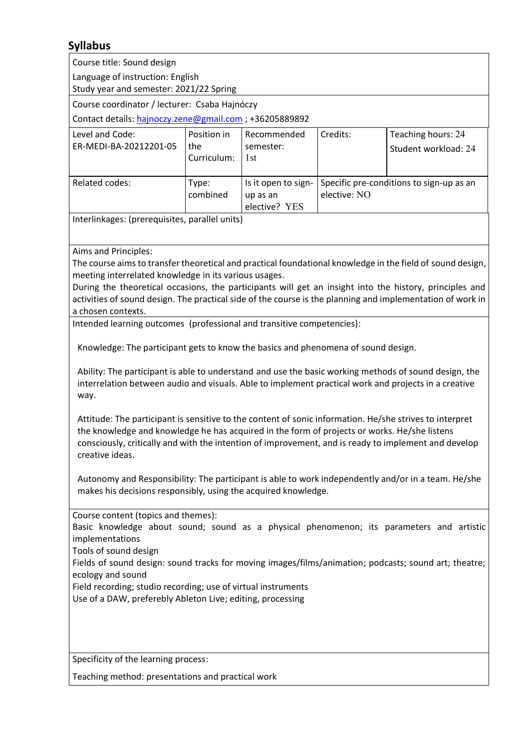## **Syllabus**

| Course title: Sound design                                                                                                                                                                                                                                                                                                                                                                                                                                                                                           |                                   |                                                  |                                                          |                                            |
|----------------------------------------------------------------------------------------------------------------------------------------------------------------------------------------------------------------------------------------------------------------------------------------------------------------------------------------------------------------------------------------------------------------------------------------------------------------------------------------------------------------------|-----------------------------------|--------------------------------------------------|----------------------------------------------------------|--------------------------------------------|
| Language of instruction: English<br>Study year and semester: 2021/22 Spring                                                                                                                                                                                                                                                                                                                                                                                                                                          |                                   |                                                  |                                                          |                                            |
| Course coordinator / lecturer: Csaba Hajnóczy                                                                                                                                                                                                                                                                                                                                                                                                                                                                        |                                   |                                                  |                                                          |                                            |
| Contact details: hajnoczy.zene@gmail.com ; +36205889892                                                                                                                                                                                                                                                                                                                                                                                                                                                              |                                   |                                                  |                                                          |                                            |
| Level and Code:<br>ER-MEDI-BA-20212201-05                                                                                                                                                                                                                                                                                                                                                                                                                                                                            | Position in<br>the<br>Curriculum: | Recommended<br>semester:<br>1st                  | Credits:                                                 | Teaching hours: 24<br>Student workload: 24 |
| Related codes:                                                                                                                                                                                                                                                                                                                                                                                                                                                                                                       | Type:<br>combined                 | Is it open to sign-<br>up as an<br>elective? YES | Specific pre-conditions to sign-up as an<br>elective: NO |                                            |
| Interlinkages: (prerequisites, parallel units)                                                                                                                                                                                                                                                                                                                                                                                                                                                                       |                                   |                                                  |                                                          |                                            |
| Aims and Principles:<br>The course aims to transfer theoretical and practical foundational knowledge in the field of sound design,<br>meeting interrelated knowledge in its various usages.<br>During the theoretical occasions, the participants will get an insight into the history, principles and<br>activities of sound design. The practical side of the course is the planning and implementation of work in<br>a chosen contexts.<br>Intended learning outcomes (professional and transitive competencies): |                                   |                                                  |                                                          |                                            |
| Knowledge: The participant gets to know the basics and phenomena of sound design.<br>Ability: The participant is able to understand and use the basic working methods of sound design, the<br>interrelation between audio and visuals. Able to implement practical work and projects in a creative<br>way.                                                                                                                                                                                                           |                                   |                                                  |                                                          |                                            |
| Attitude: The participant is sensitive to the content of sonic information. He/she strives to interpret<br>the knowledge and knowledge he has acquired in the form of projects or works. He/she listens<br>consciously, critically and with the intention of improvement, and is ready to implement and develop<br>creative ideas.                                                                                                                                                                                   |                                   |                                                  |                                                          |                                            |
| Autonomy and Responsibility: The participant is able to work independently and/or in a team. He/she<br>makes his decisions responsibly, using the acquired knowledge.                                                                                                                                                                                                                                                                                                                                                |                                   |                                                  |                                                          |                                            |
| Course content (topics and themes):<br>Basic knowledge about sound; sound as a physical phenomenon; its parameters and artistic<br>implementations<br>Tools of sound design<br>Fields of sound design: sound tracks for moving images/films/animation; podcasts; sound art; theatre;<br>ecology and sound<br>Field recording; studio recording; use of virtual instruments<br>Use of a DAW, preferebly Ableton Live; editing, processing                                                                             |                                   |                                                  |                                                          |                                            |
| Specificity of the learning process:                                                                                                                                                                                                                                                                                                                                                                                                                                                                                 |                                   |                                                  |                                                          |                                            |
| Teaching method: presentations and practical work                                                                                                                                                                                                                                                                                                                                                                                                                                                                    |                                   |                                                  |                                                          |                                            |